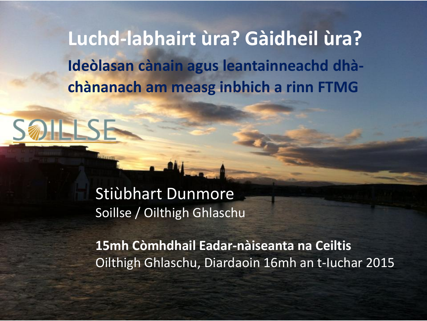**Luchd-labhairt ùra? Gàidheil ùra? Ideòlasan cànain agus leantainneachd dhàchànanach am measg inbhich a rinn FTMG**

#### Stiùbhart Dunmore Soillse / Oilthigh Ghlaschu

**15mh Còmhdhail Eadar-nàiseanta na Ceiltis** Oilthigh Ghlaschu, Diardaoin 16mh an t-Iuchar 2015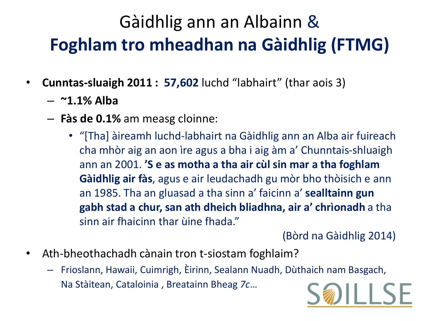### Gàidhlig ann an Albainn & **Foghlam tro mheadhan na Gàidhlig (FTMG)**

- **Cunntas-sluaigh 2011 : 57,602** luchd "labhairt" (thar aois 3)
	- **~1.1% Alba**
	- **Fàs de 0.1%** am measg cloinne:
		- "[Tha] àireamh luchd-labhairt na Gàidhlig ann an Alba air fuireach cha mhòr aig an aon ìre agus a bha i aig àm a' Chunntais-shluaigh ann an 2001. **'S e as motha a tha air cùl sin mar a tha foghlam Gàidhlig air fàs**, agus e air leudachadh gu mòr bho thòisich e ann an 1985. Tha an gluasad a tha sinn a' faicinn a' **sealltainn gun gabh stad a chur, san ath dheich bliadhna, air a' chrìonadh** a tha sinn air fhaicinn thar ùine fhada."

(Bòrd na Gàidhlig 2014)

- Ath-bheothachadh cànain tron t-siostam foghlaim?
	- Frioslann, Hawaii, Cuimrigh, Èirinn, Sealann Nuadh, Dùthaich nam Basgach, Na Stàitean, Cataloinia , Breatainn Bheag *7c*…

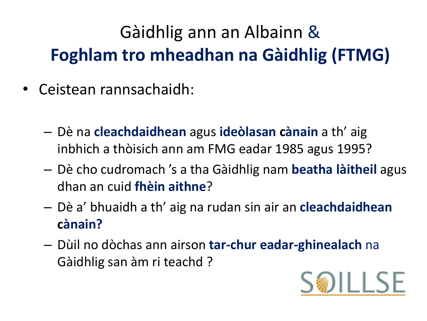### Gàidhlig ann an Albainn & **Foghlam tro mheadhan na Gàidhlig (FTMG)**

- Ceistean rannsachaidh:
	- Dè na **cleachdaidhean** agus **ideòlasan cànain** a th' aig inbhich a thòisich ann am FMG eadar 1985 agus 1995?
	- Dè cho cudromach 's a tha Gàidhlig nam **beatha làitheil** agus dhan an cuid **fhèin aithne**?
	- Dè a' bhuaidh a th' aig na rudan sin air an **cleachdaidhean cànain?**
	- Dùil no dòchas ann airson **tar-chur eadar-ghinealach** na Gàidhlig san àm ri teachd ?

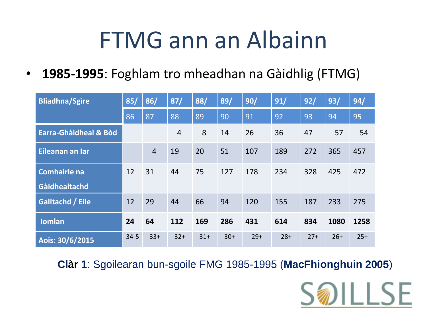# FTMG ann an Albainn

• **1985-1995**: Foghlam tro mheadhan na Gàidhlig (FTMG)

| <b>Bliadhna/Sgìre</b>   | 85/      | 86/            | 87/            | 88/    | 89/   | 90/   | 91/   | 92/   | 93/   | 94/   |
|-------------------------|----------|----------------|----------------|--------|-------|-------|-------|-------|-------|-------|
|                         | 86       | 87             | 88             | 89     | 90    | 91    | 92    | 93    | 94    | 95    |
| Earra-Ghàidheal & Bòd   |          |                | $\overline{4}$ | 8      | 14    | 26    | 36    | 47    | 57    | 54    |
| Eileanan an Iar         |          | $\overline{4}$ | 19             | 20     | 51    | 107   | 189   | 272   | 365   | 457   |
| <b>Comhairle na</b>     | 12       | 31             | 44             | 75     | 127   | 178   | 234   | 328   | 425   | 472   |
| Gàidhealtachd           |          |                |                |        |       |       |       |       |       |       |
| <b>Galltachd / Eile</b> | 12       | 29             | 44             | 66     | 94    | 120   | 155   | 187   | 233   | 275   |
| <b>Iomlan</b>           | 24       | 64             | 112            | 169    | 286   | 431   | 614   | 834   | 1080  | 1258  |
| Aois: 30/6/2015         | $34 - 5$ | $33+$          | $32+$          | $31 +$ | $30+$ | $29+$ | $28+$ | $27+$ | $26+$ | $25+$ |

**Clàr 1**: Sgoilearan bun-sgoile FMG 1985-1995 (**MacFhionghuin 2005**)

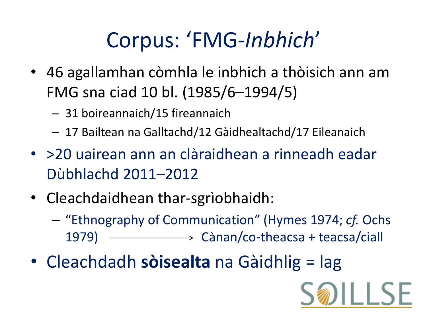# Corpus: 'FMG-*Inbhich*'

- 46 agallamhan còmhla le inbhich a thòisich ann am FMG sna ciad 10 bl. (1985/6–1994/5)
	- 31 boireannaich/15 fireannaich
	- 17 Bailtean na Galltachd/12 Gàidhealtachd/17 Eileanaich
- >20 uairean ann an clàraidhean a rinneadh eadar Dùbhlachd 2011–2012
- Cleachdaidhean thar-sgrìobhaidh:
	- "Ethnography of Communication" (Hymes 1974; *cf.* Ochs 1979) - Cànan/co-theacsa + teacsa/ciall
- Cleachdadh **sòisealta** na Gàidhlig = lag

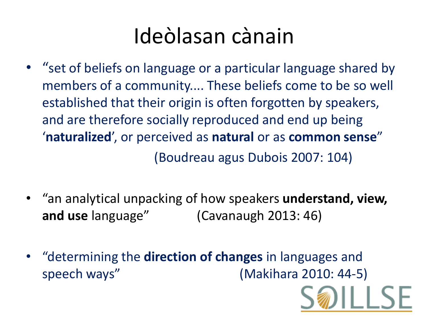# Ideòlasan cànain

- "set of beliefs on language or a particular language shared by members of a community.... These beliefs come to be so well established that their origin is often forgotten by speakers, and are therefore socially reproduced and end up being '**naturalized**', or perceived as **natural** or as **common sense**" (Boudreau agus Dubois 2007: 104)
- "an analytical unpacking of how speakers **understand, view, and use** language" (Cavanaugh 2013: 46)
- "determining the **direction of changes** in languages and speech ways" (Makihara 2010: 44-5)

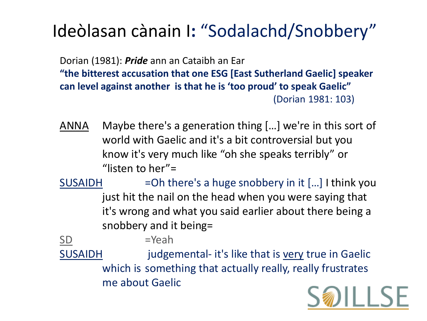#### Ideòlasan cànain I**:** "Sodalachd/Snobbery"

Dorian (1981): *Pride* ann an Cataibh an Ear **"the bitterest accusation that one ESG [East Sutherland Gaelic] speaker can level against another is that he is 'too proud' to speak Gaelic"**  (Dorian 1981: 103)

- ANNA Maybe there's a generation thing […] we're in this sort of world with Gaelic and it's a bit controversial but you know it's very much like "oh she speaks terribly" or "listen to her"=
- SUSAIDH = Oh there's a huge snobbery in it [...] I think you just hit the nail on the head when you were saying that it's wrong and what you said earlier about there being a snobbery and it being=

 $SD$  =Yeah

SUSAIDH judgemental- it's like that is very true in Gaelic which is something that actually really, really frustrates me about Gaelic

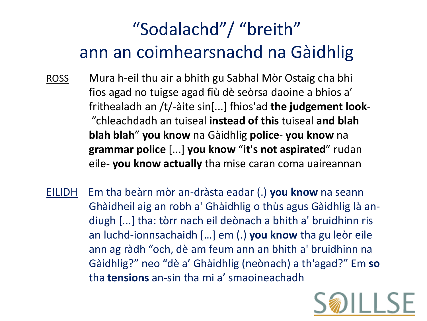#### "Sodalachd"/ "breith" ann an coimhearsnachd na Gàidhlig

- ROSS Mura h-eil thu air a bhith gu Sabhal Mòr Ostaig cha bhi fios agad no tuigse agad fiù dè seòrsa daoine a bhios a' frithealadh an /t/-àite sin[...] fhios'ad **the judgement look**- "chleachdadh an tuiseal **instead of this** tuiseal **and blah blah blah**" **you know** na Gàidhlig **police**- **you know** na **grammar police** [...] **you know** "**it's not aspirated**" rudan eile- **you know actually** tha mise caran coma uaireannan
- EILIDH Em tha beàrn mòr an-dràsta eadar (.) **you know** na seann Ghàidheil aig an robh a' Ghàidhlig o thùs agus Gàidhlig là andiugh [...] tha: tòrr nach eil deònach a bhith a' bruidhinn ris an luchd-ionnsachaidh […] em (.) **you know** tha gu leòr eile ann ag ràdh "och, dè am feum ann an bhith a' bruidhinn na Gàidhlig?" neo "dè a' Ghàidhlig (neònach) a th'agad?" Em **so** tha **tensions** an-sin tha mi a' smaoineachadh

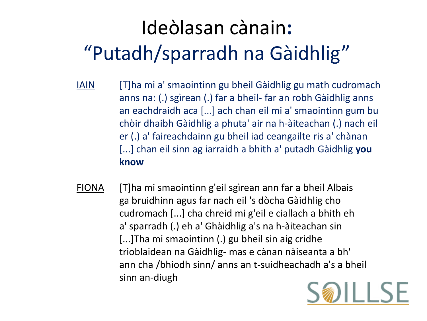# Ideòlasan cànain**:** "Putadh/sparradh na Gàidhlig"

- IAIN [T]ha mi a' smaointinn gu bheil Gàidhlig gu math cudromach anns na: (.) sgìrean (.) far a bheil- far an robh Gàidhlig anns an eachdraidh aca [...] ach chan eil mi a' smaointinn gum bu chòir dhaibh Gàidhlig a phuta' air na h-àiteachan (.) nach eil er (.) a' faireachdainn gu bheil iad ceangailte ris a' chànan [...] chan eil sinn ag iarraidh a bhith a' putadh Gàidhlig **you know**
- FIONA [T]ha mi smaointinn g'eil sgìrean ann far a bheil Albais ga bruidhinn agus far nach eil 's dòcha Gàidhlig cho cudromach [...] cha chreid mi g'eil e ciallach a bhith eh a' sparradh (.) eh a' Ghàidhlig a's na h-àiteachan sin [...]Tha mi smaointinn (.) gu bheil sin aig cridhe trioblaidean na Gàidhlig- mas e cànan nàiseanta a bh' ann cha /bhiodh sinn/ anns an t-suidheachadh a's a bheil sinn an-diugh

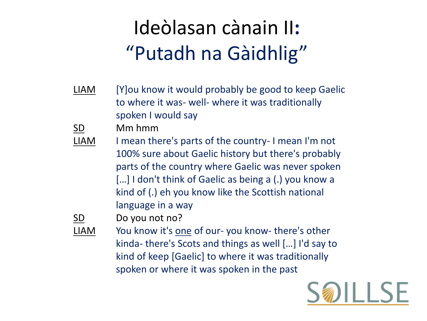# Ideòlasan cànain II**:** "Putadh na Gàidhlig"

LIAM [Y]ou know it would probably be good to keep Gaelic to where it was- well- where it was traditionally spoken I would say

SD Mm hmm

LIAM I mean there's parts of the country- I mean I'm not 100% sure about Gaelic history but there's probably parts of the country where Gaelic was never spoken [...] I don't think of Gaelic as being a (.) you know a kind of (.) eh you know like the Scottish national language in a way



SD Do you not no?

LIAM You know it's one of our- you know- there's other kinda- there's Scots and things as well […] I'd say to kind of keep [Gaelic] to where it was traditionally spoken or where it was spoken in the past

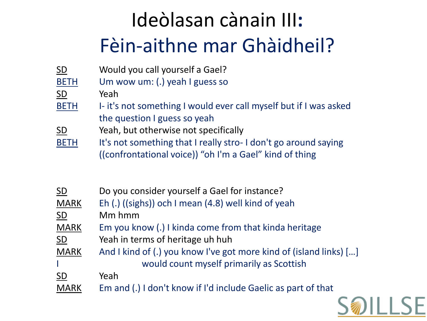# Ideòlasan cànain III**:**  Fèin-aithne mar Ghàidheil?

| <b>SD</b>   | Would you call yourself a Gael?                                   |
|-------------|-------------------------------------------------------------------|
| <b>BETH</b> | Um wow um: (.) yeah I guess so                                    |
| <b>SD</b>   | Yeah                                                              |
| <b>BETH</b> | I- it's not something I would ever call myself but if I was asked |
|             | the question I guess so yeah                                      |
| <b>SD</b>   | Yeah, but otherwise not specifically                              |
| <b>BETH</b> | It's not something that I really stro-I don't go around saying    |
|             | ((confrontational voice)) "oh I'm a Gael" kind of thing           |
|             |                                                                   |

| $\underline{\mathsf{SD}}$ | Do you consider yourself a Gael for instance?                      |
|---------------------------|--------------------------------------------------------------------|
| <b>MARK</b>               | Eh (.) ((sighs)) och I mean (4.8) well kind of yeah                |
| <b>SD</b>                 | Mm hmm                                                             |
| <b>MARK</b>               | Em you know (.) I kinda come from that kinda heritage              |
| SD                        | Yeah in terms of heritage uh huh                                   |
| <b>MARK</b>               | And I kind of (.) you know I've got more kind of (island links) [] |
|                           | would count myself primarily as Scottish                           |
| $\underline{\mathsf{SD}}$ | Yeah                                                               |
| <b>MARK</b>               | Em and (.) I don't know if I'd include Gaelic as part of that      |

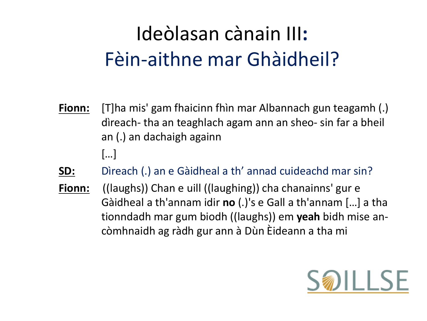## Ideòlasan cànain III**:**  Fèin-aithne mar Ghàidheil?

- **Fionn:** [T]ha mis' gam fhaicinn fhìn mar Albannach gun teagamh (.) dìreach- tha an teaghlach agam ann an sheo- sin far a bheil an (.) an dachaigh againn […]
- **SD:** Dìreach (.) an e Gàidheal a th' annad cuideachd mar sin?
- **Fionn:** ((laughs)) Chan e uill ((laughing)) cha chanainns' gur e Gàidheal a th'annam idir **no** (.)'s e Gall a th'annam […] a tha tionndadh mar gum biodh ((laughs)) em **yeah** bidh mise ancòmhnaidh ag ràdh gur ann à Dùn Èideann a tha mi

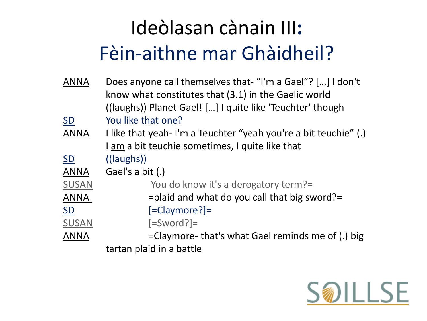# Ideòlasan cànain III**:**  Fèin-aithne mar Ghàidheil?

| <b>ANNA</b>  | Does anyone call themselves that- "I'm a Gael"? [] I don't      |
|--------------|-----------------------------------------------------------------|
|              | know what constitutes that (3.1) in the Gaelic world            |
|              | ((laughs)) Planet Gael! [] I quite like 'Teuchter' though       |
| <b>SD</b>    | You like that one?                                              |
| <b>ANNA</b>  | I like that yeah-I'm a Teuchter "yeah you're a bit teuchie" (.) |
|              | I am a bit teuchie sometimes, I quite like that                 |
| <b>SD</b>    | $((\text{laughs}))$                                             |
| <b>ANNA</b>  | Gael's a bit (.)                                                |
| <b>SUSAN</b> | You do know it's a derogatory term?=                            |
| <b>ANNA</b>  | $=$ plaid and what do you call that big sword? $=$              |
| SD           | $[=Claymore?]$                                                  |
| <b>SUSAN</b> | $[=Sword?]$                                                     |
| <b>ANNA</b>  | =Claymore- that's what Gael reminds me of (.) big               |
|              | tartan plaid in a battle                                        |
|              |                                                                 |

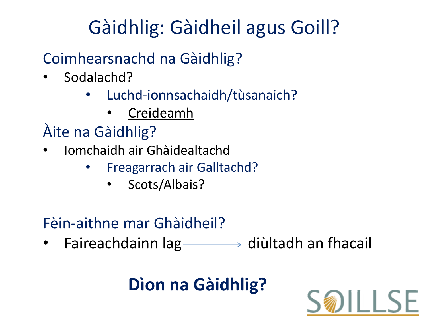# Gàidhlig: Gàidheil agus Goill?

#### Coimhearsnachd na Gàidhlig?

- Sodalachd?
	- Luchd-ionnsachaidh/tùsanaich?
		- Creideamh

#### Àite na Gàidhlig?

- Iomchaidh air Ghàidealtachd
	- Freagarrach air Galltachd?
		- Scots/Albais?

#### Fèin-aithne mar Ghàidheil?

• Faireachdainn  $lag \longrightarrow$  diùltadh an fhacail

### **Dìon na Gàidhlig?**

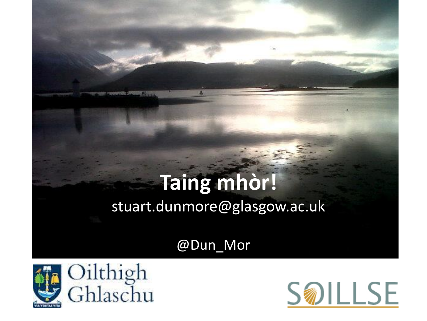### **Taing mhòr!** stuart.dunmore@glasgow.ac.uk

@Dun\_Mor